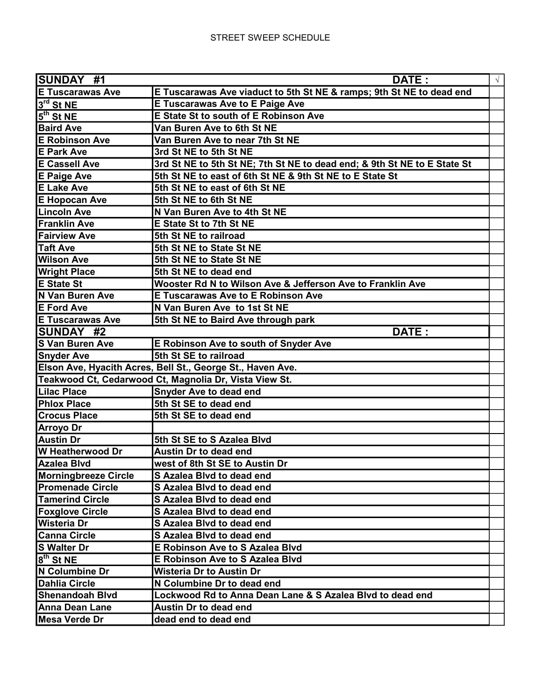| SUNDAY #1<br>DATE:          |                                                                          | $\sqrt{ }$ |
|-----------------------------|--------------------------------------------------------------------------|------------|
| <b>E Tuscarawas Ave</b>     | E Tuscarawas Ave viaduct to 5th St NE & ramps; 9th St NE to dead end     |            |
| $3^{\text{rd}}$ St NE       | <b>E Tuscarawas Ave to E Paige Ave</b>                                   |            |
| $5th$ St NE                 | <b>E State St to south of E Robinson Ave</b>                             |            |
| <b>Baird Ave</b>            | Van Buren Ave to 6th St NE                                               |            |
| <b>E Robinson Ave</b>       | Van Buren Ave to near 7th St NE                                          |            |
| <b>E Park Ave</b>           | 3rd St NE to 5th St NE                                                   |            |
| <b>E Cassell Ave</b>        | 3rd St NE to 5th St NE; 7th St NE to dead end; & 9th St NE to E State St |            |
| <b>E Paige Ave</b>          | 5th St NE to east of 6th St NE & 9th St NE to E State St                 |            |
| <b>E Lake Ave</b>           | 5th St NE to east of 6th St NE                                           |            |
| <b>E Hopocan Ave</b>        | 5th St NE to 6th St NE                                                   |            |
| <b>Lincoln Ave</b>          | N Van Buren Ave to 4th St NE                                             |            |
| <b>Franklin Ave</b>         | <b>E State St to 7th St NE</b>                                           |            |
| <b>Fairview Ave</b>         | 5th St NE to railroad                                                    |            |
| Taft Ave                    | 5th St NE to State St NE                                                 |            |
| <b>Wilson Ave</b>           | 5th St NE to State St NE                                                 |            |
| <b>Wright Place</b>         | 5th St NE to dead end                                                    |            |
| <b>E State St</b>           | Wooster Rd N to Wilson Ave & Jefferson Ave to Franklin Ave               |            |
| <b>N Van Buren Ave</b>      | <b>E Tuscarawas Ave to E Robinson Ave</b>                                |            |
| <b>E</b> Ford Ave           | N Van Buren Ave to 1st St NE                                             |            |
| <b>E Tuscarawas Ave</b>     | 5th St NE to Baird Ave through park                                      |            |
| <b>SUNDAY #2</b>            | DATE:                                                                    |            |
| <b>S Van Buren Ave</b>      | E Robinson Ave to south of Snyder Ave                                    |            |
| <b>Snyder Ave</b>           | 5th St SE to railroad                                                    |            |
|                             | Elson Ave, Hyacith Acres, Bell St., George St., Haven Ave.               |            |
|                             | Teakwood Ct, Cedarwood Ct, Magnolia Dr, Vista View St.                   |            |
| <b>Lilac Place</b>          | <b>Snyder Ave to dead end</b>                                            |            |
| <b>Phlox Place</b>          | 5th St SE to dead end                                                    |            |
| <b>Crocus Place</b>         | 5th St SE to dead end                                                    |            |
| <b>Arroyo Dr</b>            |                                                                          |            |
| <b>Austin Dr</b>            | 5th St SE to S Azalea Blvd                                               |            |
| W Heatherwood Dr            | <b>Austin Dr to dead end</b>                                             |            |
| <b>Azalea Blvd</b>          | west of 8th St SE to Austin Dr                                           |            |
| <b>Morningbreeze Circle</b> | S Azalea Blvd to dead end                                                |            |
| <b>Promenade Circle</b>     | S Azalea Blvd to dead end                                                |            |
| <b>Tamerind Circle</b>      | S Azalea Blvd to dead end                                                |            |
| <b>Foxglove Circle</b>      | <b>S Azalea Blvd to dead end</b>                                         |            |
| Wisteria Dr                 | S Azalea Blvd to dead end                                                |            |
| <b>Canna Circle</b>         | S Azalea Blvd to dead end                                                |            |
| <b>S Walter Dr</b>          | <b>E Robinson Ave to S Azalea Blvd</b>                                   |            |
| 8 <sup>th</sup> St NE       | <b>E Robinson Ave to S Azalea Blvd</b>                                   |            |
| N Columbine Dr              | Wisteria Dr to Austin Dr                                                 |            |
| <b>Dahlia Circle</b>        | N Columbine Dr to dead end                                               |            |
| <b>Shenandoah Blvd</b>      | Lockwood Rd to Anna Dean Lane & S Azalea Blvd to dead end                |            |
| <b>Anna Dean Lane</b>       | Austin Dr to dead end                                                    |            |
| Mesa Verde Dr               | dead end to dead end                                                     |            |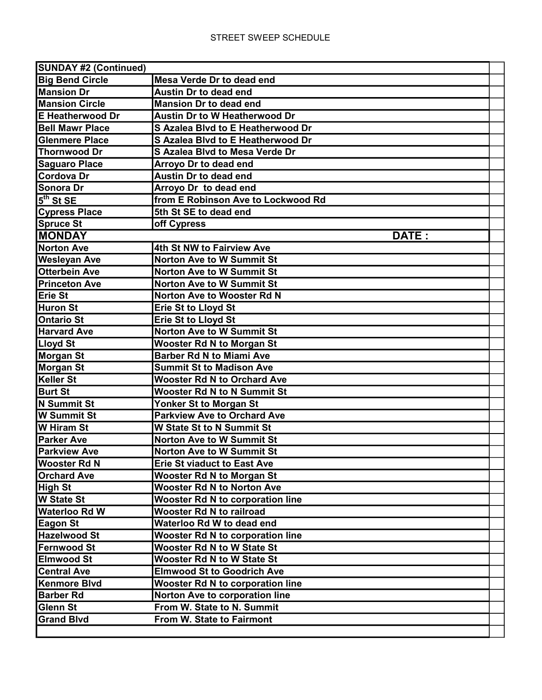| <b>SUNDAY #2 (Continued)</b> |                                         |  |  |  |
|------------------------------|-----------------------------------------|--|--|--|
| <b>Big Bend Circle</b>       | Mesa Verde Dr to dead end               |  |  |  |
| <b>Mansion Dr</b>            | <b>Austin Dr to dead end</b>            |  |  |  |
| <b>Mansion Circle</b>        | <b>Mansion Dr to dead end</b>           |  |  |  |
| <b>E</b> Heatherwood Dr      | <b>Austin Dr to W Heatherwood Dr</b>    |  |  |  |
| <b>Bell Mawr Place</b>       | S Azalea Blvd to E Heatherwood Dr       |  |  |  |
| <b>Glenmere Place</b>        | S Azalea Blvd to E Heatherwood Dr       |  |  |  |
| <b>Thornwood Dr</b>          | <b>S Azalea Blvd to Mesa Verde Dr</b>   |  |  |  |
| <b>Saguaro Place</b>         | Arroyo Dr to dead end                   |  |  |  |
| Cordova Dr                   | <b>Austin Dr to dead end</b>            |  |  |  |
| Sonora Dr                    | Arroyo Dr to dead end                   |  |  |  |
| $5th$ St SE                  | from E Robinson Ave to Lockwood Rd      |  |  |  |
| <b>Cypress Place</b>         | 5th St SE to dead end                   |  |  |  |
| Spruce St                    | off Cypress                             |  |  |  |
| <b>MONDAY</b>                | DATE:                                   |  |  |  |
| <b>Norton Ave</b>            | 4th St NW to Fairview Ave               |  |  |  |
| <b>Wesleyan Ave</b>          | <b>Norton Ave to W Summit St</b>        |  |  |  |
| Otterbein Ave                | <b>Norton Ave to W Summit St</b>        |  |  |  |
| <b>Princeton Ave</b>         | <b>Norton Ave to W Summit St</b>        |  |  |  |
| Erie St                      | <b>Norton Ave to Wooster Rd N</b>       |  |  |  |
| Huron St                     | <b>Erie St to Lloyd St</b>              |  |  |  |
| <b>Ontario St</b>            | <b>Erie St to Lloyd St</b>              |  |  |  |
| <b>Harvard Ave</b>           | <b>Norton Ave to W Summit St</b>        |  |  |  |
| <b>Lloyd St</b>              | <b>Wooster Rd N to Morgan St</b>        |  |  |  |
| Morgan St                    | <b>Barber Rd N to Miami Ave</b>         |  |  |  |
| Morgan St                    | <b>Summit St to Madison Ave</b>         |  |  |  |
| <b>Keller St</b>             | <b>Wooster Rd N to Orchard Ave</b>      |  |  |  |
| <b>Burt St</b>               | <b>Wooster Rd N to N Summit St</b>      |  |  |  |
| N Summit St                  | Yonker St to Morgan St                  |  |  |  |
| <b>W</b> Summit St           | <b>Parkview Ave to Orchard Ave</b>      |  |  |  |
| <b>W</b> Hiram St            | <b>W State St to N Summit St</b>        |  |  |  |
| <b>Parker Ave</b>            | <b>Norton Ave to W Summit St</b>        |  |  |  |
| <b>Parkview Ave</b>          | <b>Norton Ave to W Summit St</b>        |  |  |  |
| <b>Wooster Rd N</b>          | <b>Erie St viaduct to East Ave</b>      |  |  |  |
| <b>Orchard Ave</b>           | <b>Wooster Rd N to Morgan St</b>        |  |  |  |
| High St                      | <b>Wooster Rd N to Norton Ave</b>       |  |  |  |
| <b>W State St</b>            | <b>Wooster Rd N to corporation line</b> |  |  |  |
| <b>Waterloo Rd W</b>         | <b>Wooster Rd N to railroad</b>         |  |  |  |
| <b>Eagon St</b>              | Waterloo Rd W to dead end               |  |  |  |
| <b>Hazelwood St</b>          | <b>Wooster Rd N to corporation line</b> |  |  |  |
| <b>Fernwood St</b>           | <b>Wooster Rd N to W State St</b>       |  |  |  |
| <b>Elmwood St</b>            | <b>Wooster Rd N to W State St</b>       |  |  |  |
| <b>Central Ave</b>           | <b>Elmwood St to Goodrich Ave</b>       |  |  |  |
| <b>Kenmore Blvd</b>          | <b>Wooster Rd N to corporation line</b> |  |  |  |
| <b>Barber Rd</b>             | Norton Ave to corporation line          |  |  |  |
| <b>Glenn St</b>              | From W. State to N. Summit              |  |  |  |
| <b>Grand Blvd</b>            | From W. State to Fairmont               |  |  |  |
|                              |                                         |  |  |  |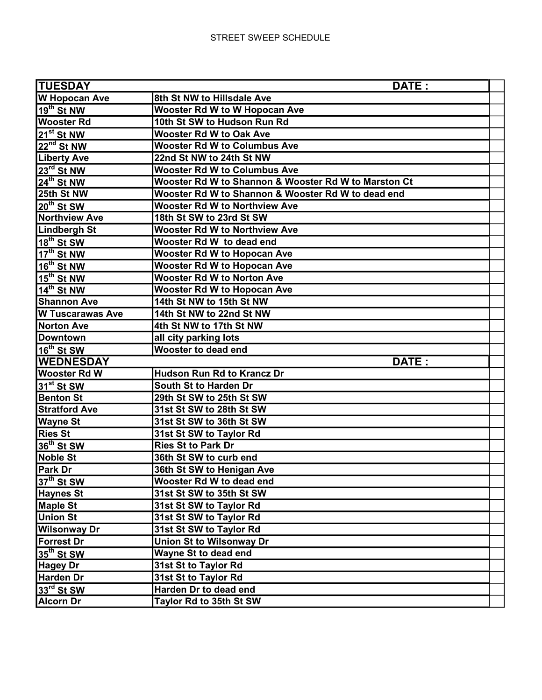| <b>TUESDAY</b>          | DATE:                                                |  |
|-------------------------|------------------------------------------------------|--|
| <b>W Hopocan Ave</b>    | 8th St NW to Hillsdale Ave                           |  |
| 19 <sup>th</sup> St NW  | <b>Wooster Rd W to W Hopocan Ave</b>                 |  |
| <b>Wooster Rd</b>       | 10th St SW to Hudson Run Rd                          |  |
| 21 <sup>st</sup> St NW  | <b>Wooster Rd W to Oak Ave</b>                       |  |
| 22 <sup>nd</sup> St NW  | <b>Wooster Rd W to Columbus Ave</b>                  |  |
| <b>Liberty Ave</b>      | 22nd St NW to 24th St NW                             |  |
| 23 <sup>rd</sup> St NW  | <b>Wooster Rd W to Columbus Ave</b>                  |  |
| 24 <sup>th</sup> St NW  | Wooster Rd W to Shannon & Wooster Rd W to Marston Ct |  |
| 25th St NW              | Wooster Rd W to Shannon & Wooster Rd W to dead end   |  |
| 20 <sup>th</sup> St SW  | <b>Wooster Rd W to Northview Ave</b>                 |  |
| <b>Northview Ave</b>    | 18th St SW to 23rd St SW                             |  |
| <b>Lindbergh St</b>     | <b>Wooster Rd W to Northview Ave</b>                 |  |
| 18 <sup>th</sup> St SW  | Wooster Rd W to dead end                             |  |
| $17^{th}$ St NW         | <b>Wooster Rd W to Hopocan Ave</b>                   |  |
| 16 <sup>th</sup> St NW  | <b>Wooster Rd W to Hopocan Ave</b>                   |  |
| $15^{th}$ St NW         | <b>Wooster Rd W to Norton Ave</b>                    |  |
| 14 <sup>th</sup> St NW  | <b>Wooster Rd W to Hopocan Ave</b>                   |  |
| <b>Shannon Ave</b>      | 14th St NW to 15th St NW                             |  |
| <b>W Tuscarawas Ave</b> | 14th St NW to 22nd St NW                             |  |
| <b>Norton Ave</b>       | 4th St NW to 17th St NW                              |  |
| <b>Downtown</b>         | all city parking lots                                |  |
| 16 <sup>th</sup> St SW  | <b>Wooster to dead end</b>                           |  |
| <b>WEDNESDAY</b>        | DATE:                                                |  |
| <b>Wooster Rd W</b>     | <b>Hudson Run Rd to Krancz Dr</b>                    |  |
| 31 <sup>st</sup> St SW  | South St to Harden Dr                                |  |
| <b>Benton St</b>        | 29th St SW to 25th St SW                             |  |
| <b>Stratford Ave</b>    | 31st St SW to 28th St SW                             |  |
| <b>Wayne St</b>         | 31st St SW to 36th St SW                             |  |
| <b>Ries St</b>          | 31st St SW to Taylor Rd                              |  |
| 36 <sup>th</sup> St SW  | <b>Ries St to Park Dr</b>                            |  |
| <b>Noble St</b>         | 36th St SW to curb end                               |  |
| Park Dr                 | 36th St SW to Henigan Ave                            |  |
| 37 <sup>th</sup> St SW  | Wooster Rd W to dead end                             |  |
| <b>Haynes St</b>        | 31st St SW to 35th St SW                             |  |
| <b>Maple St</b>         | 31st St SW to Taylor Rd                              |  |
| <b>Union St</b>         | 31st St SW to Taylor Rd                              |  |
| <b>Wilsonway Dr</b>     | 31st St SW to Taylor Rd                              |  |
| <b>Forrest Dr</b>       | <b>Union St to Wilsonway Dr</b>                      |  |
| 35 <sup>th</sup> St SW  | Wayne St to dead end                                 |  |
| <b>Hagey Dr</b>         | 31st St to Taylor Rd                                 |  |
| <b>Harden Dr</b>        | 31st St to Taylor Rd                                 |  |
| 33rd St SW              | Harden Dr to dead end                                |  |
| <b>Alcorn Dr</b>        | Taylor Rd to 35th St SW                              |  |